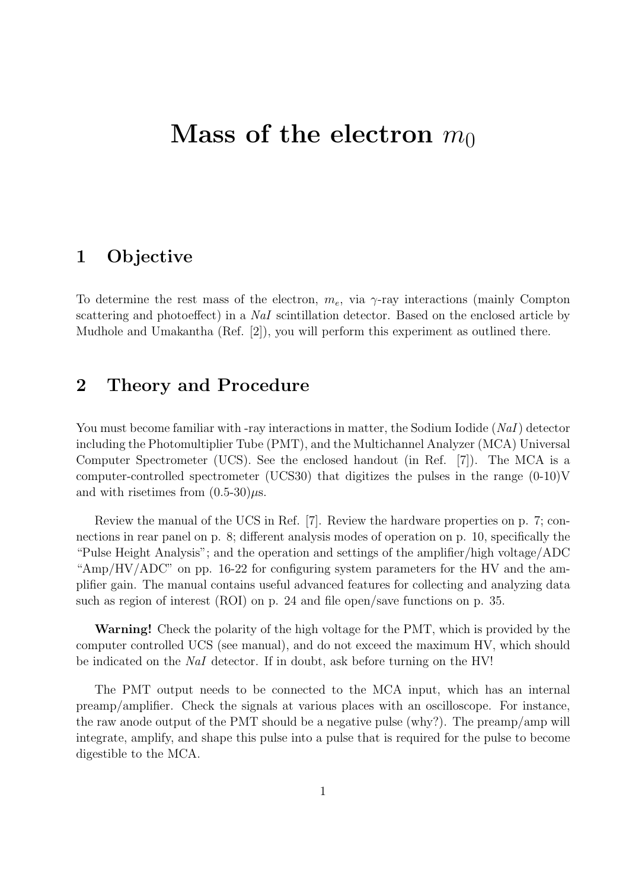# **Mass of the electron**  $m_0$

#### **1 Objective**

To determine the rest mass of the electron,  $m_e$ , via  $\gamma$ -ray interactions (mainly Compton scattering and photoeffect) in a *NaI* scintillation detector. Based on the enclosed article by Mudhole and Umakantha (Ref. [2]), you will perform this experiment as outlined there.

## **2 Theory and Procedure**

You must become familiar with -ray interactions in matter, the Sodium Iodide (*NaI*) detector including the Photomultiplier Tube (PMT), and the Multichannel Analyzer (MCA) Universal Computer Spectrometer (UCS). See the enclosed handout (in Ref. [7]). The MCA is a computer-controlled spectrometer (UCS30) that digitizes the pulses in the range  $(0-10)V$ and with risetimes from  $(0.5-30)\mu s$ .

Review the manual of the UCS in Ref. [7]. Review the hardware properties on p. 7; connections in rear panel on p. 8; different analysis modes of operation on p. 10, specifically the "Pulse Height Analysis"; and the operation and settings of the amplifier/high voltage/ADC "Amp/HV/ADC" on pp. 16-22 for configuring system parameters for the HV and the amplifier gain. The manual contains useful advanced features for collecting and analyzing data such as region of interest (ROI) on p. 24 and file open/save functions on p. 35.

**Warning!** Check the polarity of the high voltage for the PMT, which is provided by the computer controlled UCS (see manual), and do not exceed the maximum HV, which should be indicated on the *NaI* detector. If in doubt, ask before turning on the HV!

The PMT output needs to be connected to the MCA input, which has an internal preamp/amplifier. Check the signals at various places with an oscilloscope. For instance, the raw anode output of the PMT should be a negative pulse (why?). The preamp/amp will integrate, amplify, and shape this pulse into a pulse that is required for the pulse to become digestible to the MCA.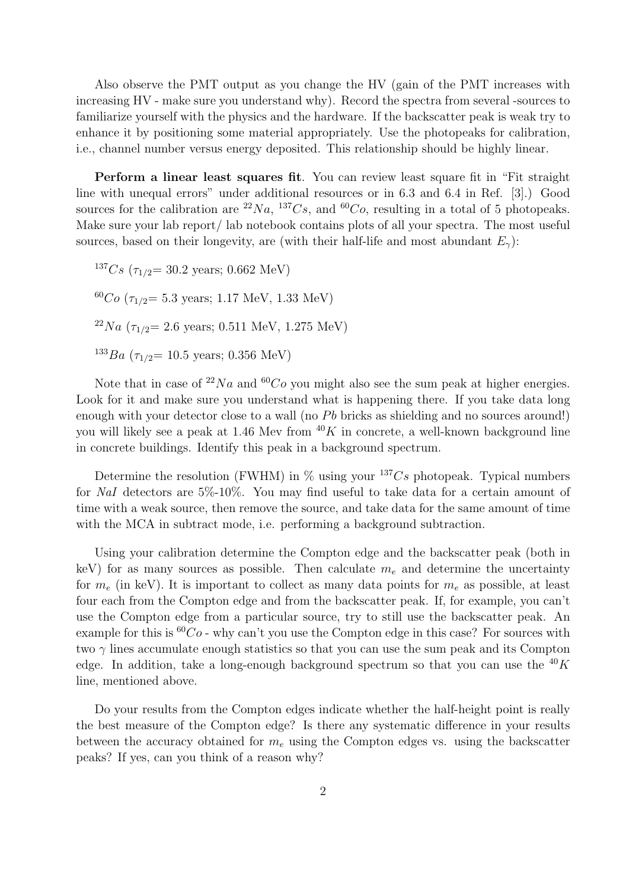Also observe the PMT output as you change the HV (gain of the PMT increases with increasing HV - make sure you understand why). Record the spectra from several -sources to familiarize yourself with the physics and the hardware. If the backscatter peak is weak try to enhance it by positioning some material appropriately. Use the photopeaks for calibration, i.e., channel number versus energy deposited. This relationship should be highly linear.

**Perform a linear least squares fit**. You can review least square fit in "Fit straight line with unequal errors" under additional resources or in 6.3 and 6.4 in Ref. [3].) Good sources for the calibration are  ${}^{22}Na$ ,  ${}^{137}Cs$ , and  ${}^{60}Co$ , resulting in a total of 5 photopeaks. Make sure your lab report/ lab notebook contains plots of all your spectra. The most useful sources, based on their longevity, are (with their half-life and most abundant  $E_\gamma$ ):

 $137Cs$  ( $\tau_{1/2}$  = 30.2 years; 0.662 MeV)  $^{60}Co$  ( $\tau_{1/2}$ = 5.3 years; 1.17 MeV, 1.33 MeV)  $22Na$  ( $\tau_{1/2}$  = 2.6 years; 0.511 MeV, 1.275 MeV)  $133Ba$  ( $\tau_{1/2}$  = 10.5 years; 0.356 MeV)

Note that in case of  $^{22}Na$  and  $^{60}Co$  you might also see the sum peak at higher energies. Look for it and make sure you understand what is happening there. If you take data long enough with your detector close to a wall (no *Pb* bricks as shielding and no sources around!) you will likely see a peak at 1.46 Mev from  $40K$  in concrete, a well-known background line in concrete buildings. Identify this peak in a background spectrum.

Determine the resolution (FWHM) in  $\%$  using your  $^{137}Cs$  photopeak. Typical numbers for *NaI* detectors are 5%-10%. You may find useful to take data for a certain amount of time with a weak source, then remove the source, and take data for the same amount of time with the MCA in subtract mode, i.e. performing a background subtraction.

Using your calibration determine the Compton edge and the backscatter peak (both in keV) for as many sources as possible. Then calculate  $m<sub>e</sub>$  and determine the uncertainty for *m<sup>e</sup>* (in keV). It is important to collect as many data points for *m<sup>e</sup>* as possible, at least four each from the Compton edge and from the backscatter peak. If, for example, you can't use the Compton edge from a particular source, try to still use the backscatter peak. An example for this is  ${}^{60}Co$  - why can't you use the Compton edge in this case? For sources with two  $\gamma$  lines accumulate enough statistics so that you can use the sum peak and its Compton edge. In addition, take a long-enough background spectrum so that you can use the <sup>40</sup>*K* line, mentioned above.

Do your results from the Compton edges indicate whether the half-height point is really the best measure of the Compton edge? Is there any systematic difference in your results between the accuracy obtained for *m<sup>e</sup>* using the Compton edges vs. using the backscatter peaks? If yes, can you think of a reason why?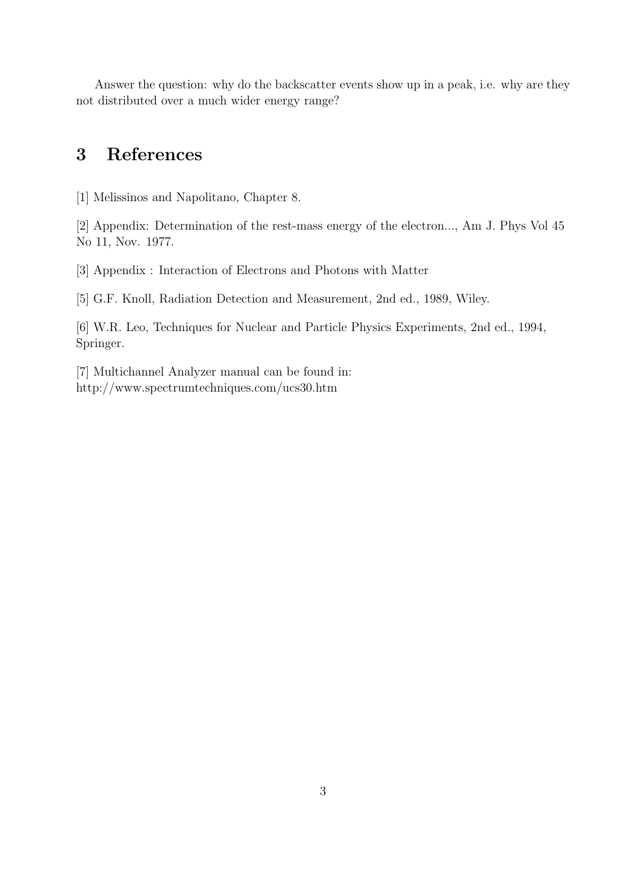Answer the question: why do the backscatter events show up in a peak, i.e. why are they not distributed over a much wider energy range?

## **3 References**

[1] Melissinos and Napolitano, Chapter 8.

[2] Appendix: Determination of the rest-mass energy of the electron..., Am J. Phys Vol 45 No 11, Nov. 1977.

[3] Appendix : Interaction of Electrons and Photons with Matter

[5] G.F. Knoll, Radiation Detection and Measurement, 2nd ed., 1989, Wiley.

[6] W.R. Leo, Techniques for Nuclear and Particle Physics Experiments, 2nd ed., 1994, Springer.

[7] Multichannel Analyzer manual can be found in: http://www.spectrumtechniques.com/ucs30.htm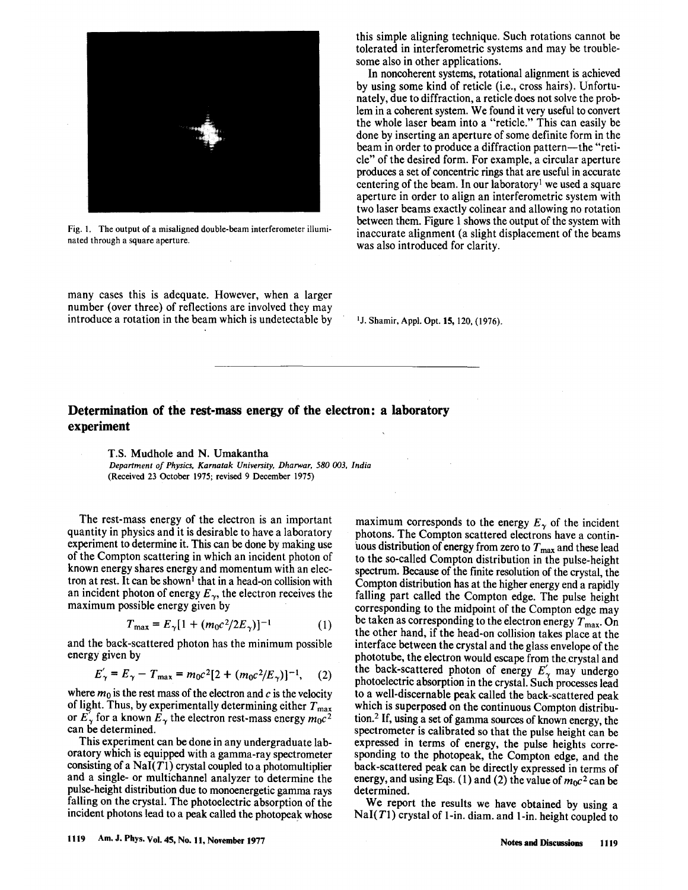

Fig. 1. The output of a misaligned double-beam interferometer illuminated through a square aperture.

many cases this is adequate. However, when a larger number (over three) of reflections are involved they may introduce a rotation in the beam which is undetectable by this simple aligning technique. Such rotations cannot be tolerated in interferometric systems and may be troublesome also in other applications.

In noncoherent systems, rotational alignment is achieved by using some kind of reticle (*i.e.*, cross hairs). Unfortunately, due to diffraction, a reticle does not solve the problem in a coherent system. We found it very useful to convert the whole laser beam into a "reticle." This can easily be done by inserting an aperture of some definite form in the beam in order to produce a diffraction pattern-the "reticle" of the desired form. For example, a circular aperture produces a set of concentric rings that are useful in accurate centering of the beam. In our laboratory<sup>1</sup> we used a square aperture in order to align an interferometric system with two laser beams exactly colinear and allowing no rotation between them. Figure 1 shows the output of the system with inaccurate alignment (a slight displacement of the beams was also introduced for clarity.

<sup>1</sup>J. Shamir, Appl. Opt. **15**, 120, (1976).

#### Determination of the rest-mass energy of the electron: a laboratory experiment

T.S. Mudhole and N. Umakantha Department of Physics, Karnatak University, Dharwar, 580 003, India (Received 23 October 1975; revised 9 December 1975)

The rest-mass energy of the electron is an important quantity in physics and it is desirable to have a laboratory experiment to determine it. This can be done by making use of the Compton scattering in which an incident photon of known energy shares energy and momentum with an electron at rest. It can be shown<sup>1</sup> that in a head-on collision with an incident photon of energy  $E_{\gamma}$ , the electron receives the maximum possible energy given by

$$
T_{\text{max}} = E_{\gamma} [1 + (m_0 c^2 / 2E_{\gamma})]^{-1}
$$
 (1)

and the back-scattered photon has the minimum possible energy given by

$$
E'_{\gamma} = E_{\gamma} - T_{\text{max}} = m_0 c^2 [2 + (m_0 c^2 / E_{\gamma})]^{-1}, \quad (2)
$$

where  $m_0$  is the rest mass of the electron and c is the velocity of light. Thus, by experimentally determining either  $T_{\text{max}}$ or  $E'_{\gamma}$  for a known  $E_{\gamma}$  the electron rest-mass energy  $m_0c^2$ can be determined.

This experiment can be done in any undergraduate laboratory which is equipped with a gamma-ray spectrometer consisting of a  $\text{NaI}(T1)$  crystal coupled to a photomultiplier and a single- or multichannel analyzer to determine the pulse-height distribution due to monoenergetic gamma rays falling on the crystal. The photoelectric absorption of the incident photons lead to a peak called the photopeak whose

maximum corresponds to the energy  $E_{\gamma}$  of the incident photons. The Compton scattered electrons have a continuous distribution of energy from zero to  $T_{\text{max}}$  and these lead to the so-called Compton distribution in the pulse-height spectrum. Because of the finite resolution of the crystal, the Compton distribution has at the higher energy end a rapidly falling part called the Compton edge. The pulse height corresponding to the midpoint of the Compton edge may be taken as corresponding to the electron energy  $T_{\text{max}}$ . On the other hand, if the head-on collision takes place at the interface between the crystal and the glass envelope of the phototube, the electron would escape from the crystal and the back-scattered photon of energy  $E'_{\gamma}$  may undergo photoelectric absorption in the crystal. Such processes lead to a well-discernable peak called the back-scattered peak which is superposed on the continuous Compton distribution.<sup>2</sup> If, using a set of gamma sources of known energy, the spectrometer is calibrated so that the pulse height can be expressed in terms of energy, the pulse heights corresponding to the photopeak, the Compton edge, and the back-scattered peak can be directly expressed in terms of energy, and using Eqs. (1) and (2) the value of  $m_0c^2$  can be determined.

We report the results we have obtained by using a  $NaI(T1)$  crystal of 1-in. diam. and 1-in. height coupled to